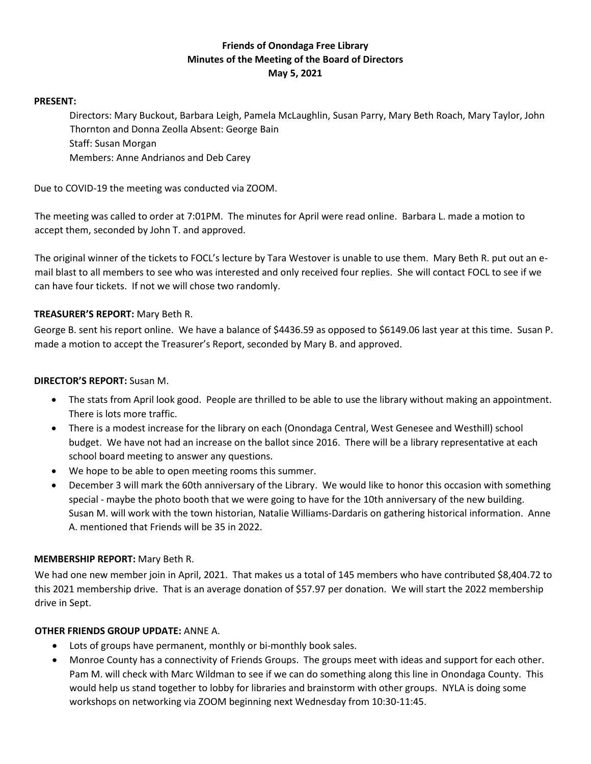# **Friends of Onondaga Free Library Minutes of the Meeting of the Board of Directors May 5, 2021**

#### **PRESENT:**

Directors: Mary Buckout, Barbara Leigh, Pamela McLaughlin, Susan Parry, Mary Beth Roach, Mary Taylor, John Thornton and Donna Zeolla Absent: George Bain Staff: Susan Morgan Members: Anne Andrianos and Deb Carey

Due to COVID-19 the meeting was conducted via ZOOM.

The meeting was called to order at 7:01PM. The minutes for April were read online. Barbara L. made a motion to accept them, seconded by John T. and approved.

The original winner of the tickets to FOCL's lecture by Tara Westover is unable to use them. Mary Beth R. put out an email blast to all members to see who was interested and only received four replies. She will contact FOCL to see if we can have four tickets. If not we will chose two randomly.

## **TREASURER'S REPORT:** Mary Beth R.

George B. sent his report online. We have a balance of \$4436.59 as opposed to \$6149.06 last year at this time. Susan P. made a motion to accept the Treasurer's Report, seconded by Mary B. and approved.

## **DIRECTOR'S REPORT:** Susan M.

- The stats from April look good. People are thrilled to be able to use the library without making an appointment. There is lots more traffic.
- There is a modest increase for the library on each (Onondaga Central, West Genesee and Westhill) school budget. We have not had an increase on the ballot since 2016. There will be a library representative at each school board meeting to answer any questions.
- We hope to be able to open meeting rooms this summer.
- December 3 will mark the 60th anniversary of the Library. We would like to honor this occasion with something special - maybe the photo booth that we were going to have for the 10th anniversary of the new building. Susan M. will work with the town historian, Natalie Williams-Dardaris on gathering historical information. Anne A. mentioned that Friends will be 35 in 2022.

## **MEMBERSHIP REPORT:** Mary Beth R.

We had one new member join in April, 2021. That makes us a total of 145 members who have contributed \$8,404.72 to this 2021 membership drive. That is an average donation of \$57.97 per donation. We will start the 2022 membership drive in Sept.

## **OTHER FRIENDS GROUP UPDATE:** ANNE A.

- Lots of groups have permanent, monthly or bi-monthly book sales.
- Monroe County has a connectivity of Friends Groups. The groups meet with ideas and support for each other. Pam M. will check with Marc Wildman to see if we can do something along this line in Onondaga County. This would help us stand together to lobby for libraries and brainstorm with other groups. NYLA is doing some workshops on networking via ZOOM beginning next Wednesday from 10:30-11:45.